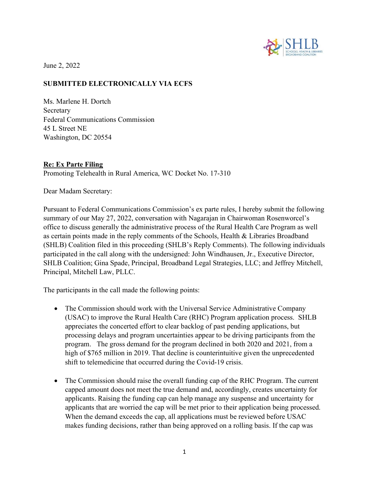

June 2, 2022

## SUBMITTED ELECTRONICALLY VIA ECFS

Ms. Marlene H. Dortch Secretary Federal Communications Commission 45 L Street NE Washington, DC 20554

## Re: Ex Parte Filing

Promoting Telehealth in Rural America, WC Docket No. 17-310

Dear Madam Secretary:

Pursuant to Federal Communications Commission's ex parte rules, I hereby submit the following summary of our May 27, 2022, conversation with Nagarajan in Chairwoman Rosenworcel's office to discuss generally the administrative process of the Rural Health Care Program as well as certain points made in the reply comments of the Schools, Health & Libraries Broadband (SHLB) Coalition filed in this proceeding (SHLB's Reply Comments). The following individuals participated in the call along with the undersigned: John Windhausen, Jr., Executive Director, SHLB Coalition; Gina Spade, Principal, Broadband Legal Strategies, LLC; and Jeffrey Mitchell, Principal, Mitchell Law, PLLC.

The participants in the call made the following points:

- The Commission should work with the Universal Service Administrative Company (USAC) to improve the Rural Health Care (RHC) Program application process. SHLB appreciates the concerted effort to clear backlog of past pending applications, but processing delays and program uncertainties appear to be driving participants from the program. The gross demand for the program declined in both 2020 and 2021, from a high of \$765 million in 2019. That decline is counterintuitive given the unprecedented shift to telemedicine that occurred during the Covid-19 crisis.
- The Commission should raise the overall funding cap of the RHC Program. The current capped amount does not meet the true demand and, accordingly, creates uncertainty for applicants. Raising the funding cap can help manage any suspense and uncertainty for applicants that are worried the cap will be met prior to their application being processed. When the demand exceeds the cap, all applications must be reviewed before USAC makes funding decisions, rather than being approved on a rolling basis. If the cap was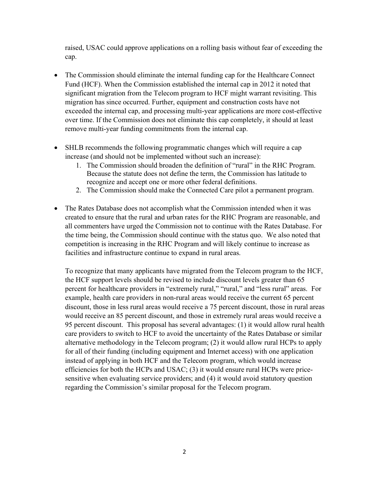raised, USAC could approve applications on a rolling basis without fear of exceeding the cap.

- The Commission should eliminate the internal funding cap for the Healthcare Connect Fund (HCF). When the Commission established the internal cap in 2012 it noted that significant migration from the Telecom program to HCF might warrant revisiting. This migration has since occurred. Further, equipment and construction costs have not exceeded the internal cap, and processing multi-year applications are more cost-effective over time. If the Commission does not eliminate this cap completely, it should at least remove multi-year funding commitments from the internal cap.
- SHLB recommends the following programmatic changes which will require a cap increase (and should not be implemented without such an increase):
	- 1. The Commission should broaden the definition of "rural" in the RHC Program. Because the statute does not define the term, the Commission has latitude to recognize and accept one or more other federal definitions.
	- 2. The Commission should make the Connected Care pilot a permanent program.
- The Rates Database does not accomplish what the Commission intended when it was created to ensure that the rural and urban rates for the RHC Program are reasonable, and all commenters have urged the Commission not to continue with the Rates Database. For the time being, the Commission should continue with the status quo. We also noted that competition is increasing in the RHC Program and will likely continue to increase as facilities and infrastructure continue to expand in rural areas.

To recognize that many applicants have migrated from the Telecom program to the HCF, the HCF support levels should be revised to include discount levels greater than 65 percent for healthcare providers in "extremely rural," "rural," and "less rural" areas. For example, health care providers in non-rural areas would receive the current 65 percent discount, those in less rural areas would receive a 75 percent discount, those in rural areas would receive an 85 percent discount, and those in extremely rural areas would receive a 95 percent discount. This proposal has several advantages: (1) it would allow rural health care providers to switch to HCF to avoid the uncertainty of the Rates Database or similar alternative methodology in the Telecom program; (2) it would allow rural HCPs to apply for all of their funding (including equipment and Internet access) with one application instead of applying in both HCF and the Telecom program, which would increase efficiencies for both the HCPs and USAC; (3) it would ensure rural HCPs were pricesensitive when evaluating service providers; and (4) it would avoid statutory question regarding the Commission's similar proposal for the Telecom program.